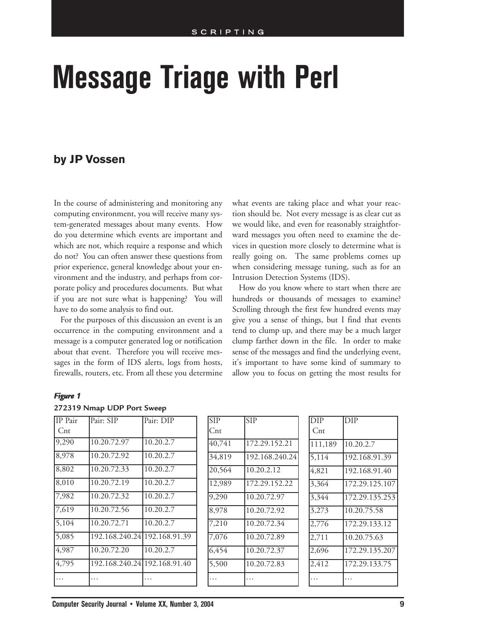# **Message Triage with Perl**

## **by JP Vossen**

In the course of administering and monitoring any computing environment, you will receive many system-generated messages about many events. How do you determine which events are important and which are not, which require a response and which do not? You can often answer these questions from prior experience, general knowledge about your environment and the industry, and perhaps from corporate policy and procedures documents. But what if you are not sure what is happening? You will have to do some analysis to find out.

For the purposes of this discussion an event is an occurrence in the computing environment and a message is a computer generated log or notification about that event. Therefore you will receive messages in the form of IDS alerts, logs from hosts, firewalls, routers, etc. From all these you determine

what events are taking place and what your reaction should be. Not every message is as clear cut as we would like, and even for reasonably straightforward messages you often need to examine the devices in question more closely to determine what is really going on. The same problems comes up when considering message tuning, such as for an Intrusion Detection Systems (IDS).

How do you know where to start when there are hundreds or thousands of messages to examine? Scrolling through the first few hundred events may give you a sense of things, but I find that events tend to clump up, and there may be a much larger clump farther down in the file. In order to make sense of the messages and find the underlying event, it's important to have some kind of summary to allow you to focus on getting the most results for

### *Figure 1*

### **272319 Nmap UDP Port Sweep**

| IP Pair         | Pair: SIP                    | Pair: DIP | <b>SIP</b> | <b>SIP</b>     | <b>DIP</b>   | DIP            |
|-----------------|------------------------------|-----------|------------|----------------|--------------|----------------|
| $_{\text{Cnt}}$ |                              |           | Cnt        |                | $_{\rm Cnt}$ |                |
| 9,290           | 10.20.72.97                  | 10.20.2.7 | 40,741     | 172.29.152.21  | 111,189      | 10.20.2.7      |
| 8,978           | 10.20.72.92                  | 10.20.2.7 | 34,819     | 192.168.240.24 | 5,114        | 192.168.91.39  |
| 8,802           | 10.20.72.33                  | 10.20.2.7 | 20,564     | 10.20.2.12     | 4,821        | 192.168.91.40  |
| 8,010           | 10.20.72.19                  | 10.20.2.7 | 12,989     | 172.29.152.22  | 3,364        | 172.29.125.107 |
| 7,982           | 10.20.72.32                  | 10.20.2.7 | 9,290      | 10.20.72.97    | 3,344        | 172.29.135.253 |
| 7,619           | 10.20.72.56                  | 10.20.2.7 | 8,978      | 10.20.72.92    | 3,273        | 10.20.75.58    |
| 5,104           | 10.20.72.71                  | 10.20.2.7 | 7,210      | 10.20.72.34    | 2,776        | 172.29.133.12  |
| 5,085           | 192.168.240.24 192.168.91.39 |           | 7,076      | 10.20.72.89    | 2,711        | 10.20.75.63    |
| 4,987           | 10.20.72.20                  | 10.20.2.7 | 6,454      | 10.20.72.37    | 2,696        | 172.29.135.207 |
| 4,795           | 192.168.240.241192.168.91.40 |           | 5,500      | 10.20.72.83    | 2,412        | 172.29.133.75  |
| .               | .                            | .         | .          | .              | .            | .              |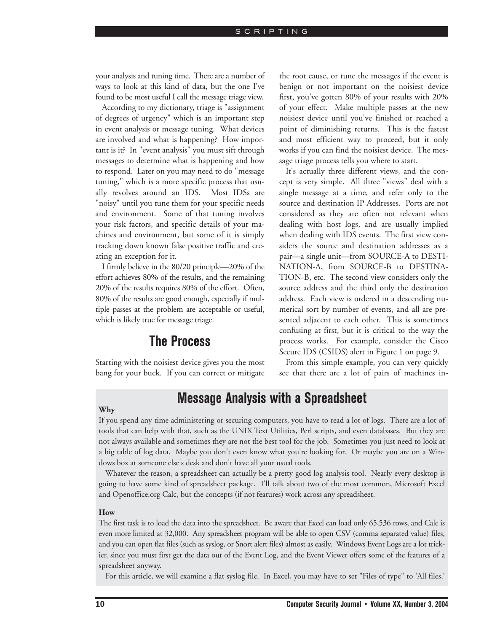#### **SCRIPTING**

your analysis and tuning time. There are a number of ways to look at this kind of data, but the one I've found to be most useful I call the message triage view.

According to my dictionary, triage is "assignment of degrees of urgency" which is an important step in event analysis or message tuning. What devices are involved and what is happening? How important is it? In "event analysis" you must sift through messages to determine what is happening and how to respond. Later on you may need to do "message tuning," which is a more specific process that usually revolves around an IDS. Most IDSs are "noisy" until you tune them for your specific needs and environment. Some of that tuning involves your risk factors, and specific details of your machines and environment, but some of it is simply tracking down known false positive traffic and creating an exception for it.

I firmly believe in the 80/20 principle—20% of the effort achieves 80% of the results, and the remaining 20% of the results requires 80% of the effort. Often, 80% of the results are good enough, especially if multiple passes at the problem are acceptable or useful, which is likely true for message triage.

# **The Process**

Starting with the noisiest device gives you the most bang for your buck. If you can correct or mitigate the root cause, or tune the messages if the event is benign or not important on the noisiest device first, you've gotten 80% of your results with 20% of your effect. Make multiple passes at the new noisiest device until you've finished or reached a point of diminishing returns. This is the fastest and most efficient way to proceed, but it only works if you can find the noisiest device. The message triage process tells you where to start.

It's actually three different views, and the concept is very simple. All three "views" deal with a single message at a time, and refer only to the source and destination IP Addresses. Ports are not considered as they are often not relevant when dealing with host logs, and are usually implied when dealing with IDS events. The first view considers the source and destination addresses as a pair—a single unit—from SOURCE-A to DESTI-NATION-A, from SOURCE-B to DESTINA-TION-B, etc. The second view considers only the source address and the third only the destination address. Each view is ordered in a descending numerical sort by number of events, and all are presented adjacent to each other. This is sometimes confusing at first, but it is critical to the way the process works. For example, consider the Cisco Secure IDS (CSIDS) alert in Figure 1 on page 9.

From this simple example, you can very quickly see that there are a lot of pairs of machines in-

# **Message Analysis with a Spreadsheet**

### **Why**

If you spend any time administering or securing computers, you have to read a lot of logs. There are a lot of tools that can help with that, such as the UNIX Text Utilities, Perl scripts, and even databases. But they are not always available and sometimes they are not the best tool for the job. Sometimes you just need to look at a big table of log data. Maybe you don't even know what you're looking for. Or maybe you are on a Windows box at someone else's desk and don't have all your usual tools.

Whatever the reason, a spreadsheet can actually be a pretty good log analysis tool. Nearly every desktop is going to have some kind of spreadsheet package. I'll talk about two of the most common, Microsoft Excel and Openoffice.org Calc, but the concepts (if not features) work across any spreadsheet.

## **How**

The first task is to load the data into the spreadsheet. Be aware that Excel can load only 65,536 rows, and Calc is even more limited at 32,000. Any spreadsheet program will be able to open CSV (comma separated value) files, and you can open flat files (such as syslog, or Snort alert files) almost as easily. Windows Event Logs are a lot trickier, since you must first get the data out of the Event Log, and the Event Viewer offers some of the features of a spreadsheet anyway.

For this article, we will examine a flat syslog file. In Excel, you may have to set "Files of type" to 'All files,'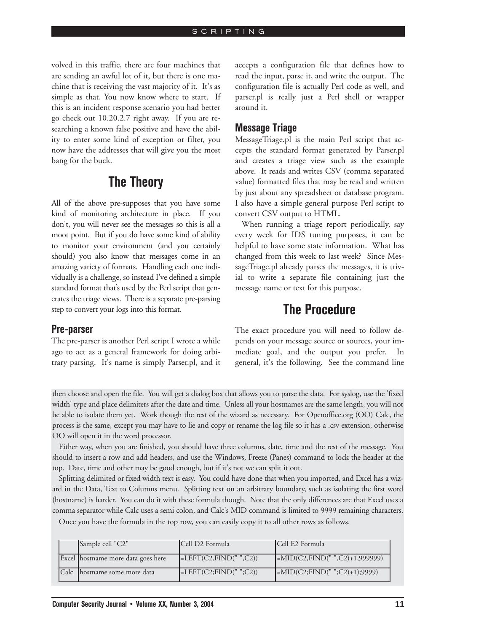volved in this traffic, there are four machines that are sending an awful lot of it, but there is one machine that is receiving the vast majority of it. It's as simple as that. You now know where to start. If this is an incident response scenario you had better go check out 10.20.2.7 right away. If you are researching a known false positive and have the ability to enter some kind of exception or filter, you now have the addresses that will give you the most bang for the buck.

# **The Theory**

All of the above pre-supposes that you have some kind of monitoring architecture in place. If you don't, you will never see the messages so this is all a moot point. But if you do have some kind of ability to monitor your environment (and you certainly should) you also know that messages come in an amazing variety of formats. Handling each one individually is a challenge, so instead I've defined a simple standard format that's used by the Perl script that generates the triage views. There is a separate pre-parsing step to convert your logs into this format.

accepts a configuration file that defines how to read the input, parse it, and write the output. The configuration file is actually Perl code as well, and parser.pl is really just a Perl shell or wrapper around it.

## **Message Triage**

MessageTriage.pl is the main Perl script that accepts the standard format generated by Parser.pl and creates a triage view such as the example above. It reads and writes CSV (comma separated value) formatted files that may be read and written by just about any spreadsheet or database program. I also have a simple general purpose Perl script to convert CSV output to HTML.

When running a triage report periodically, say every week for IDS tuning purposes, it can be helpful to have some state information. What has changed from this week to last week? Since MessageTriage.pl already parses the messages, it is trivial to write a separate file containing just the message name or text for this purpose.

# **The Procedure**

## **Pre-parser**

The pre-parser is another Perl script I wrote a while ago to act as a general framework for doing arbitrary parsing. It's name is simply Parser.pl, and it The exact procedure you will need to follow depends on your message source or sources, your immediate goal, and the output you prefer. In general, it's the following. See the command line

then choose and open the file. You will get a dialog box that allows you to parse the data. For syslog, use the 'fixed width' type and place delimiters after the date and time. Unless all your hostnames are the same length, you will not be able to isolate them yet. Work though the rest of the wizard as necessary. For Openoffice.org (OO) Calc, the process is the same, except you may have to lie and copy or rename the log file so it has a .csv extension, otherwise OO will open it in the word processor.

Either way, when you are finished, you should have three columns, date, time and the rest of the message. You should to insert a row and add headers, and use the Windows, Freeze (Panes) command to lock the header at the top. Date, time and other may be good enough, but if it's not we can split it out.

Splitting delimited or fixed width text is easy. You could have done that when you imported, and Excel has a wizard in the Data, Text to Columns menu. Splitting text on an arbitrary boundary, such as isolating the first word (hostname) is harder. You can do it with these formula though. Note that the only differences are that Excel uses a comma separator while Calc uses a semi colon, and Calc's MID command is limited to 9999 remaining characters.

Once you have the formula in the top row, you can easily copy it to all other rows as follows.

|      | Sample cell "C2"                   | ICell D2 Formula                 | Cell E2 Formula                                 |
|------|------------------------------------|----------------------------------|-------------------------------------------------|
|      | Excel hostname more data goes here | $=\text{LEFT}(C2, FIND("", C2))$ | $ \text{=MID}(C2,\text{FIND}("",C2)+1,999999) $ |
| Calc | Ihostname some more data           | $=\text{LEFT}(C2; FIND("";C2))$  | $ \text{=MID}(C2;\text{FIND}("";C2)+1);9999 $   |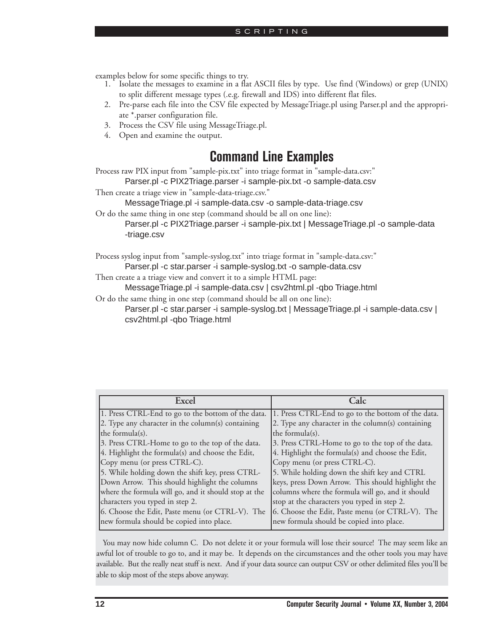- examples below for some specific things to try. 1. Isolate the messages to examine in a flat ASCII files by type. Use find (Windows) or grep (UNIX) to split different message types (.e.g. firewall and IDS) into different flat files.
	- 2. Pre-parse each file into the CSV file expected by MessageTriage.pl using Parser.pl and the appropriate \*.parser configuration file.
	- 3. Process the CSV file using MessageTriage.pl.
	- 4. Open and examine the output.

# **Command Line Examples**

Process raw PIX input from "sample-pix.txt" into triage format in "sample-data.csv:" Parser.pl -c PIX2Triage.parser -i sample-pix.txt -o sample-data.csv

Then create a triage view in "sample-data-triage.csv."

MessageTriage.pl -i sample-data.csv -o sample-data-triage.csv

Or do the same thing in one step (command should be all on one line):

Parser.pl -c PIX2Triage.parser -i sample-pix.txt | MessageTriage.pl -o sample-data -triage.csv

Process syslog input from "sample-syslog.txt" into triage format in "sample-data.csv:"

Parser.pl -c star.parser -i sample-syslog.txt -o sample-data.csv

Then create a a triage view and convert it to a simple HTML page:

MessageTriage.pl -i sample-data.csv | csv2html.pl -qbo Triage.html

Or do the same thing in one step (command should be all on one line):

Parser.pl -c star.parser -i sample-syslog.txt | MessageTriage.pl -i sample-data.csv | csv2html.pl -qbo Triage.html

| Fyce                                                 | Calc                                               |
|------------------------------------------------------|----------------------------------------------------|
| 1. Press CTRL-End to go to the bottom of the data.   | 1. Press CTRL-End to go to the bottom of the data. |
| $[2.$ Type any character in the column(s) containing | 2. Type any character in the column(s) containing  |
| the formula(s).                                      | the formula(s).                                    |
| 3. Press CTRL-Home to go to the top of the data.     | 3. Press CTRL-Home to go to the top of the data.   |
| 4. Highlight the formula(s) and choose the Edit,     | 4. Highlight the formula(s) and choose the Edit,   |
| Copy menu (or press CTRL-C).                         | Copy menu (or press CTRL-C).                       |
| 5. While holding down the shift key, press CTRL-     | 5. While holding down the shift key and CTRL       |
| Down Arrow. This should highlight the columns        | keys, press Down Arrow. This should highlight the  |
| where the formula will go, and it should stop at the | columns where the formula will go, and it should   |
| characters you typed in step 2.                      | stop at the characters you typed in step 2.        |
| 6. Choose the Edit, Paste menu (or CTRL-V). The      | 6. Choose the Edit, Paste menu (or CTRL-V). The    |
| new formula should be copied into place.             | new formula should be copied into place.           |

You may now hide column C. Do not delete it or your formula will lose their source! The may seem like an awful lot of trouble to go to, and it may be. It depends on the circumstances and the other tools you may have available. But the really neat stuff is next. And if your data source can output CSV or other delimited files you'll be able to skip most of the steps above anyway.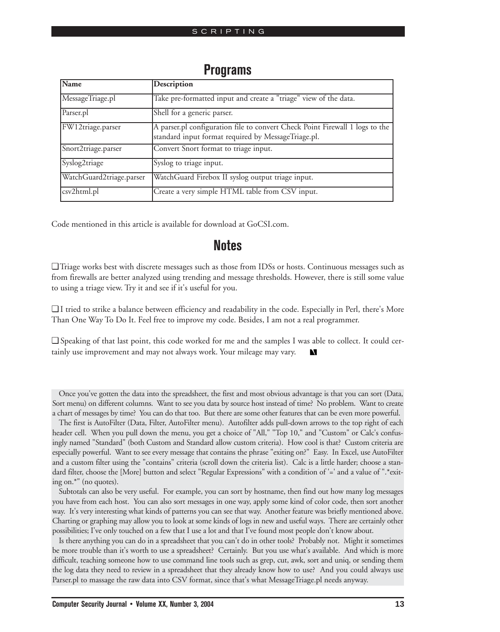| Name                     | Description                                                                                                                         |
|--------------------------|-------------------------------------------------------------------------------------------------------------------------------------|
| MessageTriage.pl         | Take pre-formatted input and create a "triage" view of the data.                                                                    |
| Parser.pl                | Shell for a generic parser.                                                                                                         |
| FW12triage.parser        | A parser.pl configuration file to convert Check Point Firewall 1 logs to the<br>standard input format required by MessageTriage.pl. |
| Snort2triage.parser      | Convert Snort format to triage input.                                                                                               |
| Syslog2triage            | Syslog to triage input.                                                                                                             |
| WatchGuard2triage.parser | WatchGuard Firebox II syslog output triage input.                                                                                   |
| csv2html.pl              | Create a very simple HTML table from CSV input.                                                                                     |

## **Programs**

Code mentioned in this article is available for download at GoCSI.com.

## **Notes**

❏ Triage works best with discrete messages such as those from IDSs or hosts. Continuous messages such as from firewalls are better analyzed using trending and message thresholds. However, there is still some value to using a triage view. Try it and see if it's useful for you.

❏ I tried to strike a balance between efficiency and readability in the code. Especially in Perl, there's More Than One Way To Do It. Feel free to improve my code. Besides, I am not a real programmer.

❏ Speaking of that last point, this code worked for me and the samples I was able to collect. It could certainly use improvement and may not always work. Your mileage may vary. N

Once you've gotten the data into the spreadsheet, the first and most obvious advantage is that you can sort (Data, Sort menu) on different columns. Want to see you data by source host instead of time? No problem. Want to create a chart of messages by time? You can do that too. But there are some other features that can be even more powerful.

The first is AutoFilter (Data, Filter, AutoFilter menu). Autofilter adds pull-down arrows to the top right of each header cell. When you pull down the menu, you get a choice of "All," "Top 10," and "Custom" or Calc's confusingly named "Standard" (both Custom and Standard allow custom criteria). How cool is that? Custom criteria are especially powerful. Want to see every message that contains the phrase "exiting on?" Easy. In Excel, use AutoFilter and a custom filter using the "contains" criteria (scroll down the criteria list). Calc is a little harder; choose a standard filter, choose the [More] button and select "Regular Expressions" with a condition of '=' and a value of ".\*exiting on.\*" (no quotes).

Subtotals can also be very useful. For example, you can sort by hostname, then find out how many log messages you have from each host. You can also sort messages in one way, apply some kind of color code, then sort another way. It's very interesting what kinds of patterns you can see that way. Another feature was briefly mentioned above. Charting or graphing may allow you to look at some kinds of logs in new and useful ways. There are certainly other possibilities; I've only touched on a few that I use a lot and that I've found most people don't know about.

Is there anything you can do in a spreadsheet that you can't do in other tools? Probably not. Might it sometimes be more trouble than it's worth to use a spreadsheet? Certainly. But you use what's available. And which is more difficult, teaching someone how to use command line tools such as grep, cut, awk, sort and uniq, or sending them the log data they need to review in a spreadsheet that they already know how to use? And you could always use Parser.pl to massage the raw data into CSV format, since that's what MessageTriage.pl needs anyway.